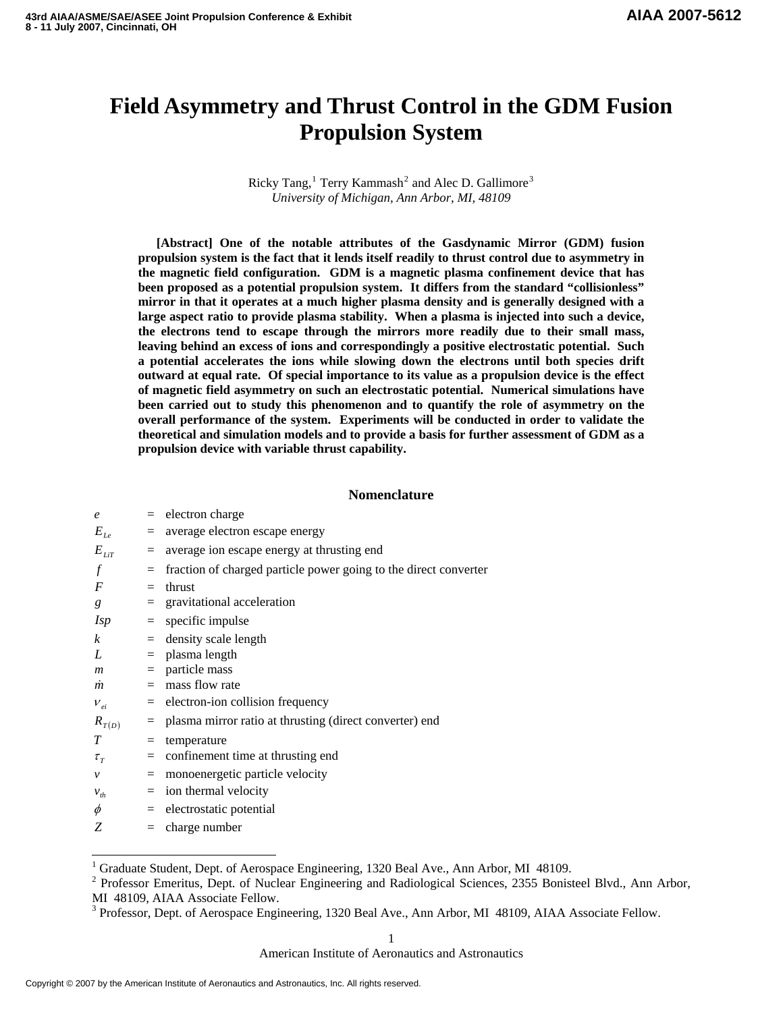# **Field Asymmetry and Thrust Control in the GDM Fusion Propulsion System**

Ricky Tang,  $^1$  $^1$  Terry Kammash<sup>[2](#page-0-1)</sup> and Alec D. Gallimore<sup>[3](#page-0-2)</sup> *University of Michigan, Ann Arbor, MI, 48109* 

**[Abstract] One of the notable attributes of the Gasdynamic Mirror (GDM) fusion propulsion system is the fact that it lends itself readily to thrust control due to asymmetry in the magnetic field configuration. GDM is a magnetic plasma confinement device that has been proposed as a potential propulsion system. It differs from the standard "collisionless" mirror in that it operates at a much higher plasma density and is generally designed with a large aspect ratio to provide plasma stability. When a plasma is injected into such a device, the electrons tend to escape through the mirrors more readily due to their small mass, leaving behind an excess of ions and correspondingly a positive electrostatic potential. Such a potential accelerates the ions while slowing down the electrons until both species drift outward at equal rate. Of special importance to its value as a propulsion device is the effect of magnetic field asymmetry on such an electrostatic potential. Numerical simulations have been carried out to study this phenomenon and to quantify the role of asymmetry on the overall performance of the system. Experiments will be conducted in order to validate the theoretical and simulation models and to provide a basis for further assessment of GDM as a propulsion device with variable thrust capability.** 

# **Nomenclature**

| $\epsilon$       |                 | $=$ electron charge                                              |
|------------------|-----------------|------------------------------------------------------------------|
| $E_{Le}$         | $=$             | average electron escape energy                                   |
| $E_{LiT}$        | $\quad \  \  =$ | average ion escape energy at thrusting end                       |
| $\int$           |                 | fraction of charged particle power going to the direct converter |
| $\overline{F}$   |                 | thrust                                                           |
| g                |                 | $=$ gravitational acceleration                                   |
|                  |                 | $Isp$ = specific impulse                                         |
| k                |                 | $=$ density scale length                                         |
| L                |                 | $=$ plasma length                                                |
| $\boldsymbol{m}$ |                 | $=$ particle mass                                                |
| $\boldsymbol{m}$ |                 | $=$ mass flow rate                                               |
| $V_{ei}$         |                 | $=$ electron-ion collision frequency                             |
| $R_{T(D)}$       |                 | $=$ plasma mirror ratio at thrusting (direct converter) end      |
| T                | $=$             | temperature                                                      |
| $\tau_{\tau}$    | $=$             | confinement time at thrusting end                                |
| $\mathcal V$     |                 | $=$ monoenergetic particle velocity                              |
| $v_{th}$         |                 | $=$ ion thermal velocity                                         |
| $\phi$           |                 | $=$ electrostatic potential                                      |
| Z                |                 | $=$ charge number                                                |

<sup>&</sup>lt;sup>1</sup> Graduate Student, Dept. of Aerospace Engineering, 1320 Beal Ave., Ann Arbor, MI 48109.<br><sup>2</sup> Professor Emeritus, Dept. of Nueleer Engineering and Bedielecieel Sciences, 2355 Bonist

<span id="page-0-1"></span><span id="page-0-0"></span><sup>&</sup>lt;sup>2</sup> Professor Emeritus, Dept. of Nuclear Engineering and Radiological Sciences, 2355 Bonisteel Blvd., Ann Arbor, MI 48109, AIAA Associate Fellow.

<span id="page-0-2"></span><sup>&</sup>lt;sup>3</sup> Professor, Dept. of Aerospace Engineering, 1320 Beal Ave., Ann Arbor, MI 48109, AIAA Associate Fellow.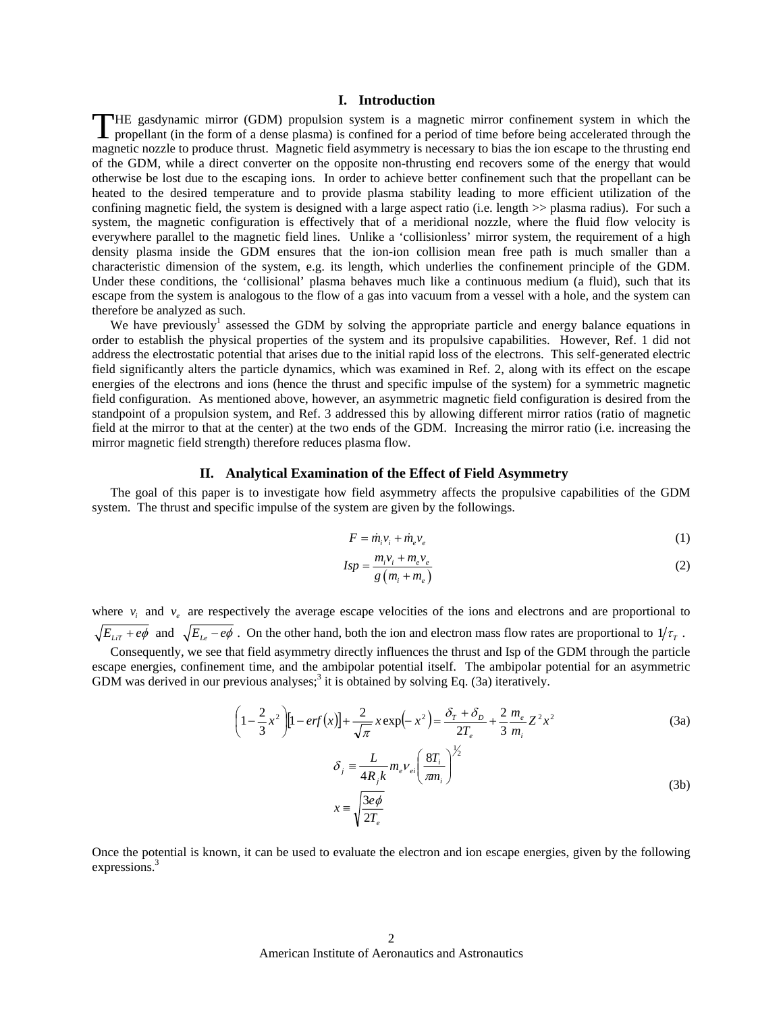# **I. Introduction**

HE gasdynamic mirror (GDM) propulsion system is a magnetic mirror confinement system in which the THE gasdynamic mirror (GDM) propulsion system is a magnetic mirror confinement system in which the propellant (in the form of a dense plasma) is confined for a period of time before being accelerated through the magnetic nozzle to produce thrust. Magnetic field asymmetry is necessary to bias the ion escape to the thrusting end of the GDM, while a direct converter on the opposite non-thrusting end recovers some of the energy that would otherwise be lost due to the escaping ions. In order to achieve better confinement such that the propellant can be heated to the desired temperature and to provide plasma stability leading to more efficient utilization of the confining magnetic field, the system is designed with a large aspect ratio (i.e. length >> plasma radius). For such a system, the magnetic configuration is effectively that of a meridional nozzle, where the fluid flow velocity is everywhere parallel to the magnetic field lines. Unlike a 'collisionless' mirror system, the requirement of a high density plasma inside the GDM ensures that the ion-ion collision mean free path is much smaller than a characteristic dimension of the system, e.g. its length, which underlies the confinement principle of the GDM. Under these conditions, the 'collisional' plasma behaves much like a continuous medium (a fluid), such that its escape from the system is analogous to the flow of a gas into vacuum from a vessel with a hole, and the system can therefore be analyzed as such.

We have previously<sup>1</sup> assessed the GDM by solving the appropriate particle and energy balance equations in order to establish the physical properties of the system and its propulsive capabilities. However, Ref. 1 did not address the electrostatic potential that arises due to the initial rapid loss of the electrons. This self-generated electric field significantly alters the particle dynamics, which was examined in Ref. 2, along with its effect on the escape energies of the electrons and ions (hence the thrust and specific impulse of the system) for a symmetric magnetic field configuration. As mentioned above, however, an asymmetric magnetic field configuration is desired from the standpoint of a propulsion system, and Ref. 3 addressed this by allowing different mirror ratios (ratio of magnetic field at the mirror to that at the center) at the two ends of the GDM. Increasing the mirror ratio (i.e. increasing the mirror magnetic field strength) therefore reduces plasma flow.

## **II. Analytical Examination of the Effect of Field Asymmetry**

The goal of this paper is to investigate how field asymmetry affects the propulsive capabilities of the GDM system. The thrust and specific impulse of the system are given by the followings.

$$
F = \dot{m}_i v_i + \dot{m}_e v_e \tag{1}
$$

$$
Isp = \frac{m_i v_i + m_e v_e}{g(m_i + m_e)}
$$
 (2)

where  $v_i$  and  $v_e$  are respectively the average escape velocities of the ions and electrons and are proportional to  $\sqrt{E_{LT} + e\phi}$  and  $\sqrt{E_{L} - e\phi}$ . On the other hand, both the ion and electron mass flow rates are proportional to  $1/\tau$ .

 Consequently, we see that field asymmetry directly influences the thrust and Isp of the GDM through the particle escape energies, confinement time, and the ambipolar potential itself. The ambipolar potential for an asymmetric GDM was derived in our previous analyses;<sup>3</sup> it is obtained by solving Eq. (3a) iteratively.

$$
\left(1 - \frac{2}{3}x^2\right)[1 - erf(x)] + \frac{2}{\sqrt{\pi}}x\exp(-x^2) = \frac{\delta_T + \delta_D}{2T_e} + \frac{2}{3}\frac{m_e}{m_i}Z^2x^2\tag{3a}
$$

$$
\delta_j = \frac{L}{4R_j k} m_e v_{ei} \left(\frac{8T_i}{\pi m_i}\right)^{\frac{1}{2}}
$$
\n
$$
x = \sqrt{\frac{3e\phi}{2T_e}}
$$
\n(3b)

Once the potential is known, it can be used to evaluate the electron and ion escape energies, given by the following expressions.<sup>3</sup>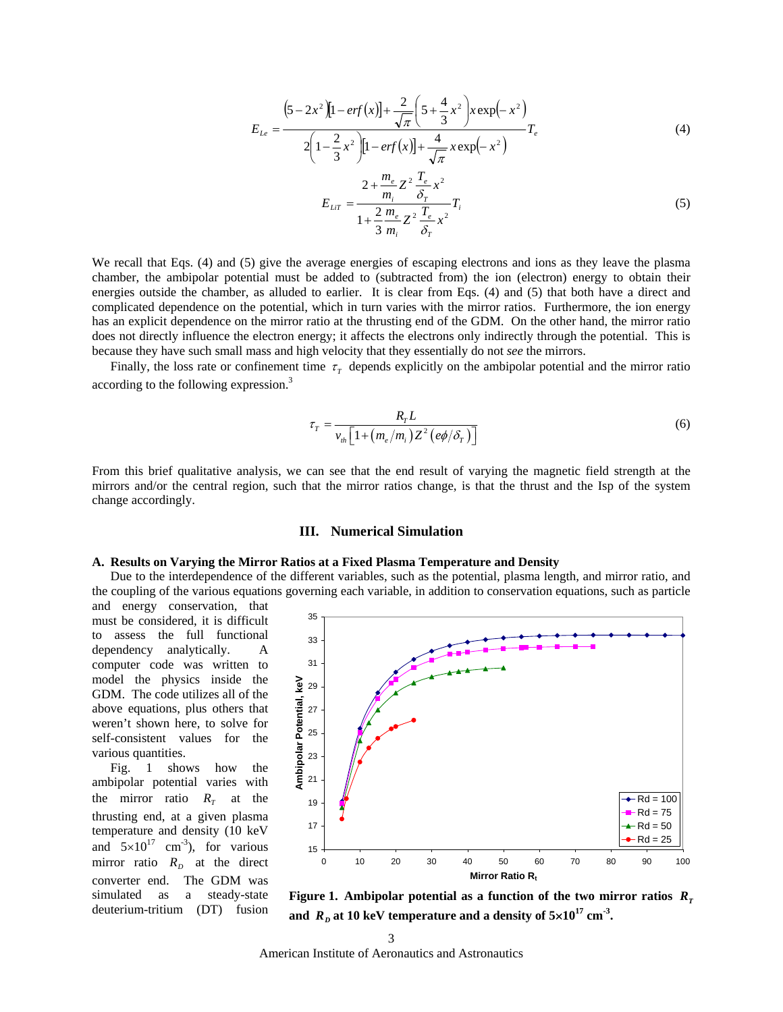$$
E_{Le} = \frac{\left(5 - 2x^2\right)\left[1 - erf(x)\right] + \frac{2}{\sqrt{\pi}}\left(5 + \frac{4}{3}x^2\right)x\exp(-x^2)}{2\left(1 - \frac{2}{3}x^2\right)\left[1 - erf(x)\right] + \frac{4}{\sqrt{\pi}}x\exp(-x^2)}T_e\tag{4}
$$

$$
E_{LIT} = \frac{2 + \frac{m_e}{m_i} Z^2 \frac{T_e}{\delta_T} x^2}{1 + \frac{2}{3} \frac{m_e}{m_i} Z^2 \frac{T_e}{\delta_T} x^2} T_i
$$
(5)

We recall that Eqs. (4) and (5) give the average energies of escaping electrons and ions as they leave the plasma chamber, the ambipolar potential must be added to (subtracted from) the ion (electron) energy to obtain their energies outside the chamber, as alluded to earlier. It is clear from Eqs. (4) and (5) that both have a direct and complicated dependence on the potential, which in turn varies with the mirror ratios. Furthermore, the ion energy has an explicit dependence on the mirror ratio at the thrusting end of the GDM. On the other hand, the mirror ratio does not directly influence the electron energy; it affects the electrons only indirectly through the potential. This is because they have such small mass and high velocity that they essentially do not *see* the mirrors.

Finally, the loss rate or confinement time  $\tau_r$  depends explicitly on the ambipolar potential and the mirror ratio according to the following expression.3

$$
\tau_T = \frac{R_r L}{v_{th} \left[1 + \left(m_e / m_i\right) Z^2 \left(e\phi / \delta_T\right)\right]}
$$
(6)

From this brief qualitative analysis, we can see that the end result of varying the magnetic field strength at the mirrors and/or the central region, such that the mirror ratios change, is that the thrust and the Isp of the system change accordingly.

#### **III. Numerical Simulation**

#### **A. Results on Varying the Mirror Ratios at a Fixed Plasma Temperature and Density**

 Due to the interdependence of the different variables, such as the potential, plasma length, and mirror ratio, and the coupling of the various equations governing each variable, in addition to conservation equations, such as particle

and energy conservation, that must be considered, it is difficult to assess the full functional dependency analytically. A computer code was written to model the physics inside the GDM. The code utilizes all of the above equations, plus others that weren't shown here, to solve for self-consistent values for the various quantities.

 Fig. 1 shows how the ambipolar potential varies with the mirror ratio  $R<sub>r</sub>$  at the thrusting end, at a given plasma temperature and density (10 keV and  $5 \times 10^{17}$  cm<sup>-3</sup>), for various mirror ratio  $R<sub>p</sub>$  at the direct converter end. The GDM was simulated as a steady-state deuterium-tritium (DT) fusion



**Figure 1. Ambipolar potential as a function of the two mirror ratios**  $R<sub>T</sub>$ and  $R<sub>D</sub>$  at 10 keV temperature and a density of  $5\times10^{17}$  cm<sup>-3</sup>.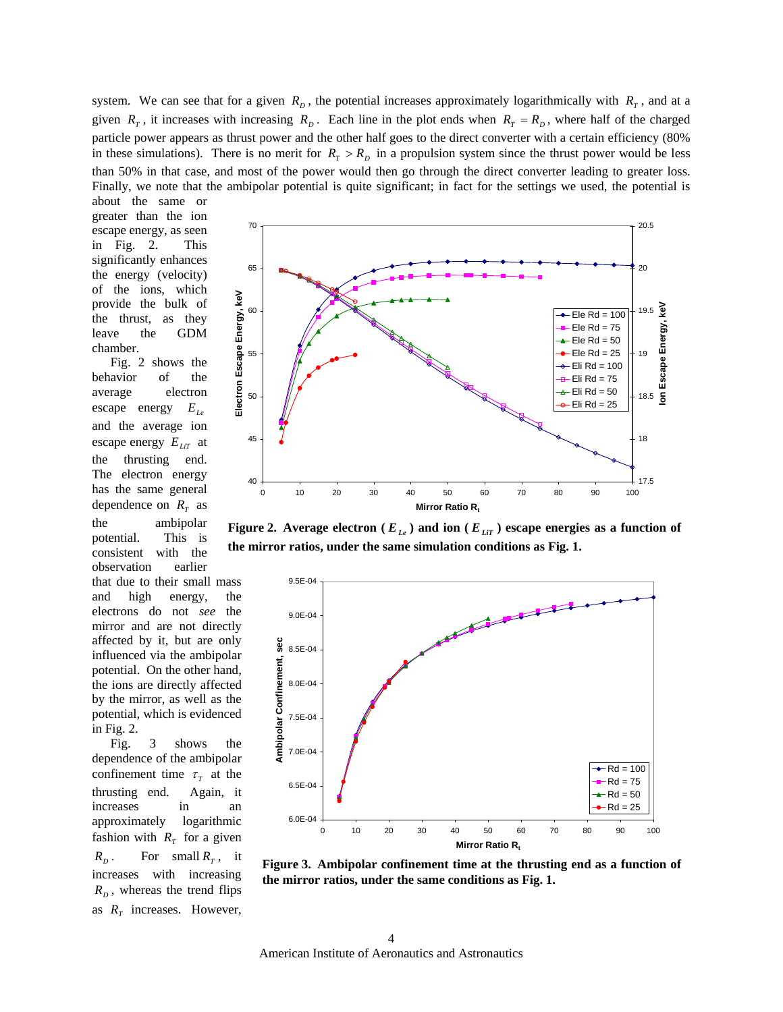system. We can see that for a given  $R<sub>D</sub>$ , the potential increases approximately logarithmically with  $R<sub>T</sub>$ , and at a given  $R_T$ , it increases with increasing  $R_D$ . Each line in the plot ends when  $R_T = R_D$ , where half of the charged particle power appears as thrust power and the other half goes to the direct converter with a certain efficiency (80% in these simulations). There is no merit for  $R_T > R_D$  in a propulsion system since the thrust power would be less than 50% in that case, and most of the power would then go through the direct converter leading to greater loss. Finally, we note that the ambipolar potential is quite significant; in fact for the settings we used, the potential is

about the same or greater than the ion escape energy, as seen in Fig. 2. This significantly enhances the energy (velocity) of the ions, which provide the bulk of the thrust, as they leave th e GDM chamber.

electron g and the avera e ion Fig. 2 shows the behavior of the average escape energy *ELe* escape energy  $E_{LiT}$  at the thrusting end. The electron energy has the same general dependence on  $R_T$  as the ambipolar potential. This is consistent with the observation earlier

that due to their small mass potential, which is evidenced and high energy, the electrons do not *see* the mirror and are not directly affected by it, but are only influenced via the ambipolar potential. On the other hand, the ions are directly affected by the mirror, as well as the in Fig. 2.

dependence of the ambipolar Fig. 3 shows the confinement time  $\tau_r$  at the thrusting end. Again, it increases in an approximately logarithmic fashion with  $R<sub>T</sub>$  for a given  $R_D$ . For small  $R_T$ , it increases with increasing  $R_D$ , whereas the trend flips as  $R_T$  increases. However,



Figure 2. Average electron ( $E_{Le}$ ) and ion ( $E_{LIT}$ ) escape energies as a function of the mirror ratios, under the same simulation conditions as Fig. 1.



**Figure 3. Ambipolar confinement time at the thrusting end as a function of the mirror ratios, under the same conditions as Fig. 1.**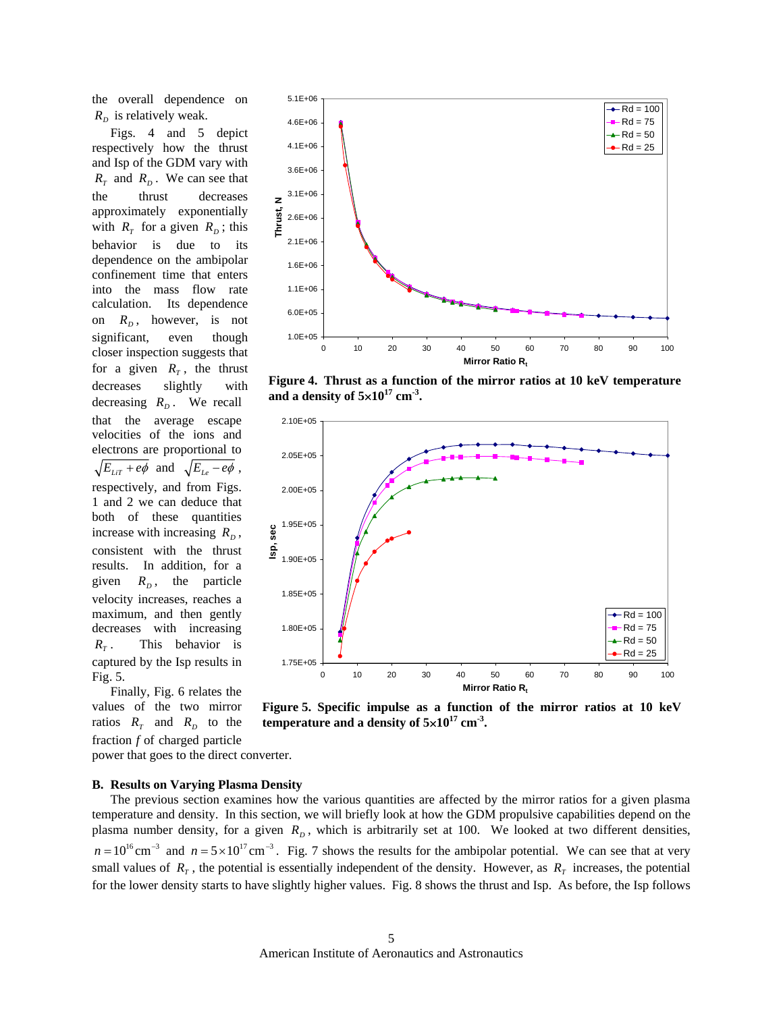the overall dependence on  $R<sub>D</sub>$  is relatively weak.

 Figs. 4 and 5 depict respectively how the thrust and Isp of the GDM vary with  $R_T$  and  $R_D$ . We can see that the thrust decreases approximately exponentially with  $R_T$  for a given  $R_D$ ; this behavior is due to its dependence on the ambipolar confinement time that enters into the mass flow rate calculation. Its dependence on  $R_D$ , however, is not significant, even though closer inspection suggests that for a given  $R_T$ , the thrust decreases slightly with decreasing  $R_D$ . We recall that the average escape velocities of the ions and electrons are proportional to  $\sqrt{E_{LiT} + e\phi}$  and  $\sqrt{E_{Le} - e\phi}$ , respectively, and from Figs. 1 and 2 we can deduce that both of these quantities increase with increasing  $R_D$ , consistent with the thrust results. In addition, for a given  $R_D$ , the particle velocity increases, reaches a maximum, and then gently decreases with increasing . This behavior is captured by the Isp results in Fig. 5.  $R_T$ .





**Figure 4. Thrust as a function of the mirror ratios at 10 keV temperature**  and a density of  $5\times10^{17}$  cm<sup>-3</sup>.



**Figure 5. Specific impulse as a function of the mirror ratios at 10 keV temperature and a density of**  $5 \times 10^{17}$  **cm<sup>-3</sup>.** 

power that goes to the direct converter.

### **B. Results on Varying Plasma Density**

 The previous section examines how the various quantities are affected by the mirror ratios for a given plasma temperature and density. In this section, we will briefly look at how the GDM propulsive capabilities depend on the plasma number density, for a given  $R<sub>p</sub>$ , which is arbitrarily set at 100. We looked at two different densities,  $n = 10^{16}$  cm<sup>-3</sup> and  $n = 5 \times 10^{17}$  cm<sup>-3</sup>. Fig. 7 shows the results for the ambipolar potential. We can see that at very small values of  $R<sub>T</sub>$ , the potential is essentially independent of the density. However, as  $R<sub>T</sub>$  increases, the potential for the lower density starts to have slightly higher values. Fig. 8 shows the thrust and Isp. As before, the Isp follows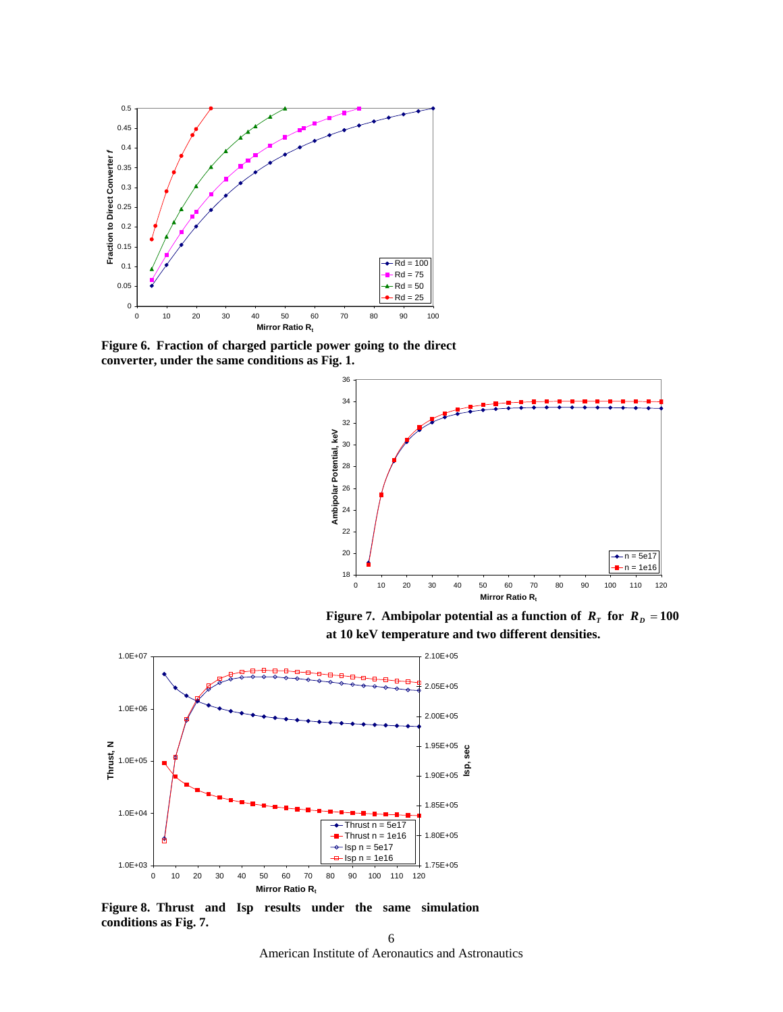

**Figure 6. Fraction of charged particle power going to the direct converter, under the same conditions as Fig. 1.** 



**Figure 7.** Ambipolar potential as a function of  $R_T$  for  $R_D = 100$ **at 10 keV temperature and two different densities.** 



**Figure 8. Thrust and Isp results under the same simulation conditions as Fig. 7.** 

American Institute of Aeronautics and Astronautics 6